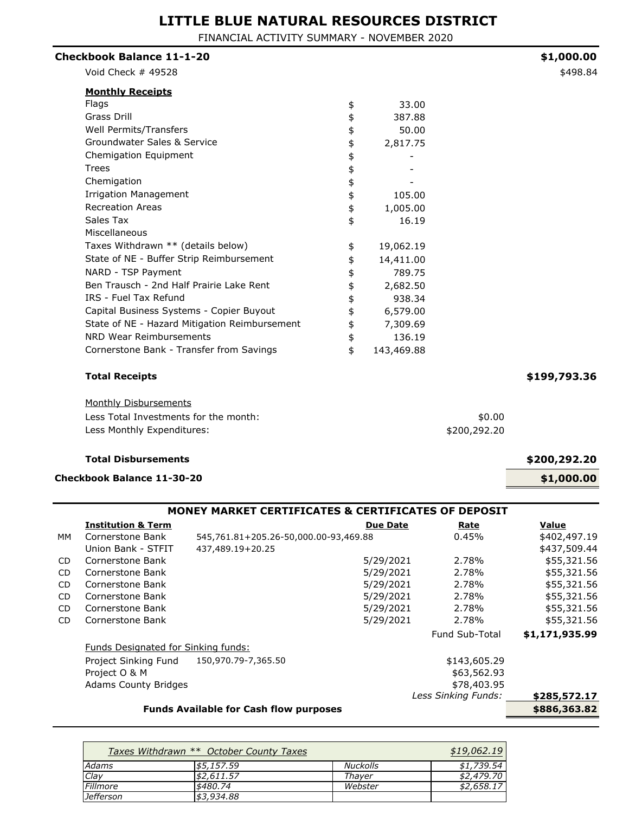FINANCIAL ACTIVITY SUMMARY - NOVEMBER 2020

| <b>Checkbook Balance 11-1-20</b>              |          |            |              | \$1,000.00   |
|-----------------------------------------------|----------|------------|--------------|--------------|
| Void Check # 49528                            |          |            |              | \$498.84     |
| <b>Monthly Receipts</b>                       |          |            |              |              |
| Flags                                         | \$       | 33.00      |              |              |
| Grass Drill                                   | \$       | 387.88     |              |              |
| Well Permits/Transfers                        | \$       | 50.00      |              |              |
| Groundwater Sales & Service                   | \$       | 2,817.75   |              |              |
| Chemigation Equipment                         |          |            |              |              |
| <b>Trees</b>                                  | \$<br>\$ |            |              |              |
| Chemigation                                   |          |            |              |              |
| <b>Irrigation Management</b>                  | \$<br>\$ | 105.00     |              |              |
| <b>Recreation Areas</b>                       | \$       | 1,005.00   |              |              |
| Sales Tax                                     | \$       | 16.19      |              |              |
| Miscellaneous                                 |          |            |              |              |
| Taxes Withdrawn ** (details below)            | \$       | 19,062.19  |              |              |
| State of NE - Buffer Strip Reimbursement      | \$       | 14,411.00  |              |              |
| NARD - TSP Payment                            | \$       | 789.75     |              |              |
| Ben Trausch - 2nd Half Prairie Lake Rent      | \$       | 2,682.50   |              |              |
| IRS - Fuel Tax Refund                         | \$       | 938.34     |              |              |
| Capital Business Systems - Copier Buyout      | \$       | 6,579.00   |              |              |
| State of NE - Hazard Mitigation Reimbursement | \$       | 7,309.69   |              |              |
| NRD Wear Reimbursements                       | \$       | 136.19     |              |              |
| Cornerstone Bank - Transfer from Savings      | \$       | 143,469.88 |              |              |
| <b>Total Receipts</b>                         |          |            |              | \$199,793.36 |
| <b>Monthly Disbursements</b>                  |          |            |              |              |
| Less Total Investments for the month:         |          |            | \$0.00       |              |
| Less Monthly Expenditures:                    |          |            | \$200,292.20 |              |
|                                               |          |            |              |              |

#### **Total Disbursements \$200,292.20**

#### **Checkbook Balance 11-30-20 \$1,000.00**

### **Institution & Term Constitution & Term Constitution & Term Constitution & Term Constitution & Term Constitution & Term Constitution & Term Constitution & Term Constitution & Term Constitution & Term Co** MM Cornerstone Bank 545,761.81+205.26-50,000.00-93,469.88 0.45% \$402,497.19 Union Bank - STFIT 437,489.19+20.25 \$437,509.44 CD Cornerstone Bank 5/29/2021 2.78% \$55,321.56 CD Cornerstone Bank 5/29/2021 2.78% \$55,321.56 CD Cornerstone Bank 6. 1990 12.78% \$55,321.56 CD Cornerstone Bank 5/29/2021 2.78% \$55,321.56 CD Cornerstone Bank 5/29/2021 2.78% \$55,321.56 CD Cornerstone Bank 5/29/2021 2.78% \$55,321.56 Fund Sub-Total **\$1,171,935.99** Funds Designated for Sinking funds: Project Sinking Fund 150,970.79-7,365.50 \$143,605.29 Project O & M  $\overline{ }$  863,562.93 Adams County Bridges **\$78,403.95 \$285,572.17 Funds Available for Cash flow purposes the same of the state of the state of the state state state state state state state state state state state state state state state state state state state state state state state st MONEY MARKET CERTIFICATES & CERTIFICATES OF DEPOSIT** *Less Sinking Funds:*

*19<br><u>54<br><u></u>70<br>17*</u>

|                  | Taxes Withdrawn ** October County Taxes |                 | \$19,062.19 |
|------------------|-----------------------------------------|-----------------|-------------|
| Adams            | \$5,157.59                              | <b>Nuckolls</b> | \$1,739.54  |
| Clay             | \$2,611.57                              | Thaver          | \$2,479.70  |
| Fillmore         | \$480.74                                | Webster         | \$2,658.17  |
| <b>Jefferson</b> | \$3,934,88                              |                 |             |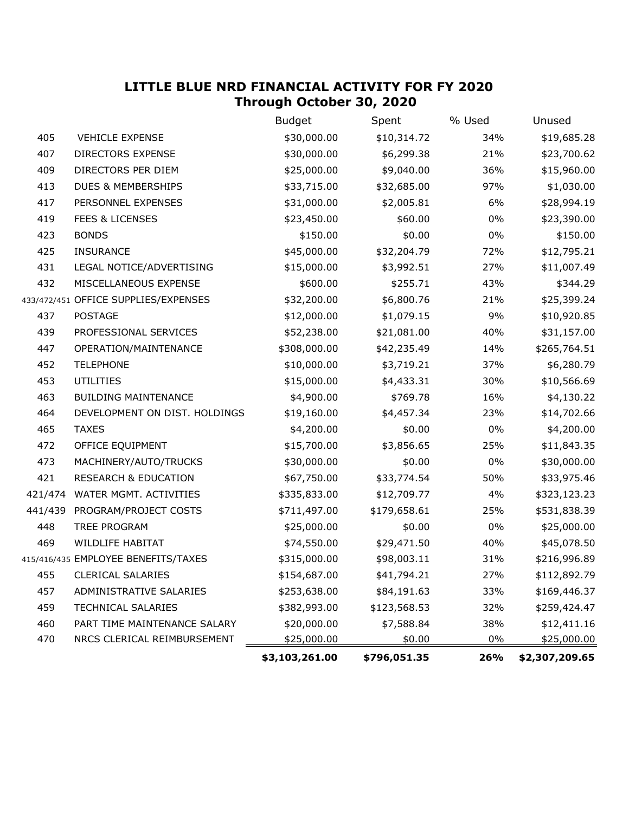## **LITTLE BLUE NRD FINANCIAL ACTIVITY FOR FY 2020 Through October 30, 2020**

|         |                                      | <b>Budget</b>  | Spent        | % Used | Unused         |
|---------|--------------------------------------|----------------|--------------|--------|----------------|
| 405     | <b>VEHICLE EXPENSE</b>               | \$30,000.00    | \$10,314.72  | 34%    | \$19,685.28    |
| 407     | DIRECTORS EXPENSE                    | \$30,000.00    | \$6,299.38   | 21%    | \$23,700.62    |
| 409     | DIRECTORS PER DIEM                   | \$25,000.00    | \$9,040.00   | 36%    | \$15,960.00    |
| 413     | <b>DUES &amp; MEMBERSHIPS</b>        | \$33,715.00    | \$32,685.00  | 97%    | \$1,030.00     |
| 417     | PERSONNEL EXPENSES                   | \$31,000.00    | \$2,005.81   | 6%     | \$28,994.19    |
| 419     | <b>FEES &amp; LICENSES</b>           | \$23,450.00    | \$60.00      | $0\%$  | \$23,390.00    |
| 423     | <b>BONDS</b>                         | \$150.00       | \$0.00       | $0\%$  | \$150.00       |
| 425     | <b>INSURANCE</b>                     | \$45,000.00    | \$32,204.79  | 72%    | \$12,795.21    |
| 431     | LEGAL NOTICE/ADVERTISING             | \$15,000.00    | \$3,992.51   | 27%    | \$11,007.49    |
| 432     | MISCELLANEOUS EXPENSE                | \$600.00       | \$255.71     | 43%    | \$344.29       |
|         | 433/472/451 OFFICE SUPPLIES/EXPENSES | \$32,200.00    | \$6,800.76   | 21%    | \$25,399.24    |
| 437     | <b>POSTAGE</b>                       | \$12,000.00    | \$1,079.15   | 9%     | \$10,920.85    |
| 439     | PROFESSIONAL SERVICES                | \$52,238.00    | \$21,081.00  | 40%    | \$31,157.00    |
| 447     | OPERATION/MAINTENANCE                | \$308,000.00   | \$42,235.49  | 14%    | \$265,764.51   |
| 452     | <b>TELEPHONE</b>                     | \$10,000.00    | \$3,719.21   | 37%    | \$6,280.79     |
| 453     | <b>UTILITIES</b>                     | \$15,000.00    | \$4,433.31   | 30%    | \$10,566.69    |
| 463     | <b>BUILDING MAINTENANCE</b>          | \$4,900.00     | \$769.78     | 16%    | \$4,130.22     |
| 464     | DEVELOPMENT ON DIST. HOLDINGS        | \$19,160.00    | \$4,457.34   | 23%    | \$14,702.66    |
| 465     | <b>TAXES</b>                         | \$4,200.00     | \$0.00       | $0\%$  | \$4,200.00     |
| 472     | OFFICE EQUIPMENT                     | \$15,700.00    | \$3,856.65   | 25%    | \$11,843.35    |
| 473     | MACHINERY/AUTO/TRUCKS                | \$30,000.00    | \$0.00       | $0\%$  | \$30,000.00    |
| 421     | <b>RESEARCH &amp; EDUCATION</b>      | \$67,750.00    | \$33,774.54  | 50%    | \$33,975.46    |
| 421/474 | WATER MGMT. ACTIVITIES               | \$335,833.00   | \$12,709.77  | 4%     | \$323,123.23   |
| 441/439 | PROGRAM/PROJECT COSTS                | \$711,497.00   | \$179,658.61 | 25%    | \$531,838.39   |
| 448     | TREE PROGRAM                         | \$25,000.00    | \$0.00       | $0\%$  | \$25,000.00    |
| 469     | WILDLIFE HABITAT                     | \$74,550.00    | \$29,471.50  | 40%    | \$45,078.50    |
|         | 415/416/435 EMPLOYEE BENEFITS/TAXES  | \$315,000.00   | \$98,003.11  | 31%    | \$216,996.89   |
|         | 455 CLERICAL SALARIES                | \$154,687.00   | \$41,794.21  | 27%    | \$112,892.79   |
| 457     | ADMINISTRATIVE SALARIES              | \$253,638.00   | \$84,191.63  | 33%    | \$169,446.37   |
| 459     | <b>TECHNICAL SALARIES</b>            | \$382,993.00   | \$123,568.53 | 32%    | \$259,424.47   |
| 460     | PART TIME MAINTENANCE SALARY         | \$20,000.00    | \$7,588.84   | 38%    | \$12,411.16    |
| 470     | NRCS CLERICAL REIMBURSEMENT          | \$25,000.00    | \$0.00       | 0%     | \$25,000.00    |
|         |                                      | \$3,103,261.00 | \$796,051.35 | 26%    | \$2,307,209.65 |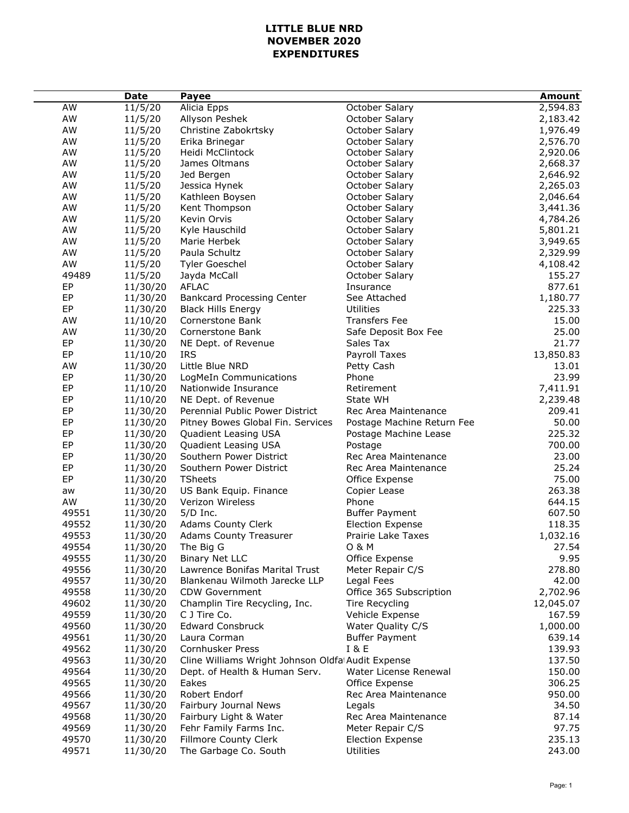## **LITTLE BLUE NRD NOVEMBER 2020 EXPENDITURES**

|                | <b>Date</b>          | <b>Payee</b>                                      |                                            | Amount             |
|----------------|----------------------|---------------------------------------------------|--------------------------------------------|--------------------|
| AW             | 11/5/20              | Alicia Epps                                       | October Salary                             | 2,594.83           |
| AW             | 11/5/20              | Allyson Peshek                                    | October Salary                             | 2,183.42           |
| AW             | 11/5/20              | Christine Zabokrtsky                              | October Salary                             | 1,976.49           |
| AW             | 11/5/20              | Erika Brinegar                                    | October Salary                             | 2,576.70           |
| AW             | 11/5/20              | Heidi McClintock                                  | October Salary                             | 2,920.06           |
| AW             | 11/5/20              | James Oltmans                                     | October Salary                             | 2,668.37           |
| AW             | 11/5/20              | Jed Bergen                                        | October Salary                             | 2,646.92           |
| AW             | 11/5/20              | Jessica Hynek                                     | October Salary                             | 2,265.03           |
| AW             | 11/5/20              | Kathleen Boysen                                   | October Salary                             | 2,046.64           |
| AW             | 11/5/20              | Kent Thompson                                     | October Salary                             | 3,441.36           |
| AW             | 11/5/20              | Kevin Orvis                                       | October Salary                             | 4,784.26           |
| AW             | 11/5/20              | Kyle Hauschild                                    | October Salary                             | 5,801.21           |
| AW             | 11/5/20              | Marie Herbek                                      | October Salary                             | 3,949.65           |
| AW             | 11/5/20              | Paula Schultz                                     | October Salary                             | 2,329.99           |
| AW             | 11/5/20              | <b>Tyler Goeschel</b>                             | October Salary                             | 4,108.42           |
| 49489          | 11/5/20              | Jayda McCall                                      | October Salary                             | 155.27             |
| EP             | 11/30/20             | <b>AFLAC</b>                                      | Insurance                                  | 877.61             |
| EP             | 11/30/20             | <b>Bankcard Processing Center</b>                 | See Attached                               | 1,180.77           |
| EP             | 11/30/20             | <b>Black Hills Energy</b>                         | <b>Utilities</b>                           | 225.33             |
| AW             | 11/10/20             | Cornerstone Bank                                  | <b>Transfers Fee</b>                       | 15.00              |
| AW             | 11/30/20             | Cornerstone Bank                                  | Safe Deposit Box Fee                       | 25.00              |
| EP             | 11/30/20             | NE Dept. of Revenue                               | Sales Tax                                  | 21.77              |
| EP             | 11/10/20             | <b>IRS</b>                                        | Payroll Taxes                              | 13,850.83          |
| AW             | 11/30/20             | Little Blue NRD                                   | Petty Cash                                 | 13.01              |
| EP             | 11/30/20             | LogMeIn Communications                            | Phone                                      | 23.99              |
| EP             | 11/10/20             | Nationwide Insurance                              | Retirement                                 | 7,411.91           |
| EP             | 11/10/20             | NE Dept. of Revenue                               | State WH                                   | 2,239.48           |
| EP             | 11/30/20             | Perennial Public Power District                   | Rec Area Maintenance                       | 209.41             |
| EP             | 11/30/20             | Pitney Bowes Global Fin. Services                 | Postage Machine Return Fee                 | 50.00              |
| EP             | 11/30/20             | Quadient Leasing USA                              | Postage Machine Lease                      | 225.32             |
| EP             | 11/30/20             | Quadient Leasing USA                              | Postage                                    | 700.00             |
| EP             | 11/30/20             | Southern Power District                           | Rec Area Maintenance                       | 23.00              |
| EP             | 11/30/20             | Southern Power District                           | Rec Area Maintenance                       | 25.24              |
| EP             | 11/30/20             | <b>TSheets</b>                                    | Office Expense                             | 75.00              |
| aw             | 11/30/20             | US Bank Equip. Finance                            | Copier Lease                               | 263.38             |
| AW             | 11/30/20             | Verizon Wireless                                  | Phone                                      | 644.15             |
| 49551          | 11/30/20             | $5/D$ Inc.                                        | <b>Buffer Payment</b>                      | 607.50             |
| 49552          | 11/30/20             | <b>Adams County Clerk</b>                         | <b>Election Expense</b>                    | 118.35             |
| 49553          | 11/30/20             | <b>Adams County Treasurer</b>                     | Prairie Lake Taxes                         | 1,032.16           |
| 49554          | 11/30/20             | The Big G                                         | 0 & M                                      | 27.54              |
| 49555          | 11/30/20             | <b>Binary Net LLC</b>                             | Office Expense                             | 9.95               |
| 49556          | 11/30/20             | Lawrence Bonifas Marital Trust                    | Meter Repair C/S                           | 278.80             |
| 49557<br>49558 | 11/30/20             | Blankenau Wilmoth Jarecke LLP                     | Legal Fees                                 | 42.00              |
|                | 11/30/20             | CDW Government                                    | Office 365 Subscription                    | 2,702.96           |
| 49602<br>49559 | 11/30/20             | Champlin Tire Recycling, Inc.                     | Tire Recycling                             | 12,045.07          |
| 49560          | 11/30/20             | C J Tire Co.<br><b>Edward Consbruck</b>           | Vehicle Expense                            | 167.59             |
| 49561          | 11/30/20<br>11/30/20 | Laura Corman                                      | Water Quality C/S<br><b>Buffer Payment</b> | 1,000.00<br>639.14 |
| 49562          | 11/30/20             | Cornhusker Press                                  | <b>I&amp;E</b>                             | 139.93             |
| 49563          | 11/30/20             | Cline Williams Wright Johnson Oldfa Audit Expense |                                            | 137.50             |
| 49564          | 11/30/20             | Dept. of Health & Human Serv.                     | Water License Renewal                      | 150.00             |
| 49565          | 11/30/20             | Eakes                                             | Office Expense                             | 306.25             |
| 49566          | 11/30/20             | Robert Endorf                                     | Rec Area Maintenance                       | 950.00             |
| 49567          | 11/30/20             | Fairbury Journal News                             | Legals                                     | 34.50              |
| 49568          | 11/30/20             | Fairbury Light & Water                            | Rec Area Maintenance                       | 87.14              |
| 49569          | 11/30/20             | Fehr Family Farms Inc.                            | Meter Repair C/S                           | 97.75              |
| 49570          | 11/30/20             | Fillmore County Clerk                             | <b>Election Expense</b>                    | 235.13             |
| 49571          | 11/30/20             | The Garbage Co. South                             | <b>Utilities</b>                           | 243.00             |
|                |                      |                                                   |                                            |                    |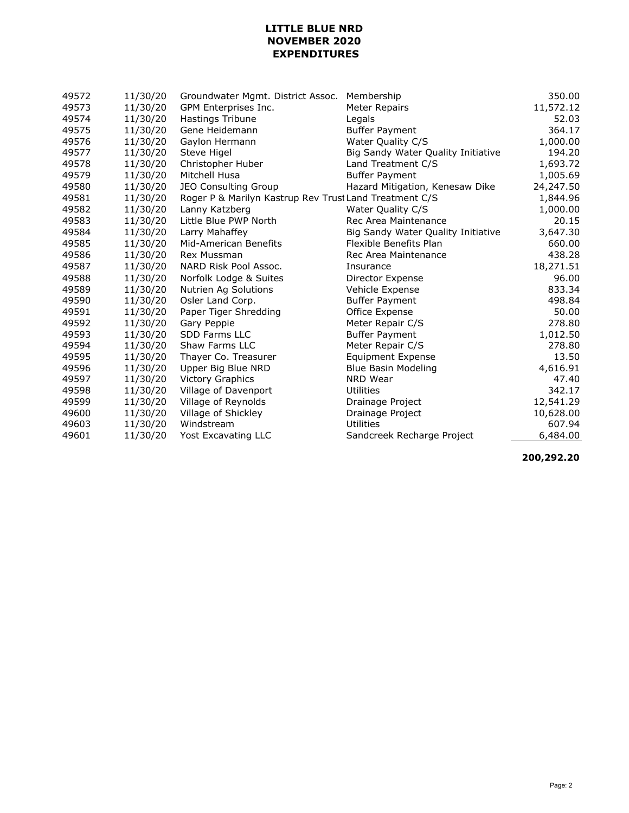## **LITTLE BLUE NRD NOVEMBER 2020 EXPENDITURES**

| 49572 | 11/30/20 | Groundwater Mgmt. District Assoc.                      | Membership                         | 350.00    |
|-------|----------|--------------------------------------------------------|------------------------------------|-----------|
| 49573 | 11/30/20 | GPM Enterprises Inc.                                   | <b>Meter Repairs</b>               | 11,572.12 |
| 49574 | 11/30/20 | Hastings Tribune                                       | Legals                             | 52.03     |
| 49575 | 11/30/20 | Gene Heidemann                                         | <b>Buffer Payment</b>              | 364.17    |
| 49576 | 11/30/20 | Gaylon Hermann                                         | Water Quality C/S                  | 1,000.00  |
| 49577 | 11/30/20 | Steve Higel                                            | Big Sandy Water Quality Initiative | 194.20    |
| 49578 | 11/30/20 | Christopher Huber                                      | Land Treatment C/S                 | 1,693.72  |
| 49579 | 11/30/20 | Mitchell Husa                                          | <b>Buffer Payment</b>              | 1,005.69  |
| 49580 | 11/30/20 | <b>JEO Consulting Group</b>                            | Hazard Mitigation, Kenesaw Dike    | 24,247.50 |
| 49581 | 11/30/20 | Roger P & Marilyn Kastrup Rev Trust Land Treatment C/S |                                    | 1,844.96  |
| 49582 | 11/30/20 | Lanny Katzberg                                         | Water Quality C/S                  | 1,000.00  |
| 49583 | 11/30/20 | Little Blue PWP North                                  | Rec Area Maintenance               | 20.15     |
| 49584 | 11/30/20 | Larry Mahaffey                                         | Big Sandy Water Quality Initiative | 3,647.30  |
| 49585 | 11/30/20 | Mid-American Benefits                                  | Flexible Benefits Plan             | 660.00    |
| 49586 | 11/30/20 | Rex Mussman                                            | Rec Area Maintenance               | 438.28    |
| 49587 | 11/30/20 | NARD Risk Pool Assoc.                                  | Insurance                          | 18,271.51 |
| 49588 | 11/30/20 | Norfolk Lodge & Suites                                 | Director Expense                   | 96.00     |
| 49589 | 11/30/20 | Nutrien Ag Solutions                                   | Vehicle Expense                    | 833.34    |
| 49590 | 11/30/20 | Osler Land Corp.                                       | <b>Buffer Payment</b>              | 498.84    |
| 49591 | 11/30/20 | Paper Tiger Shredding                                  | Office Expense                     | 50.00     |
| 49592 | 11/30/20 | Gary Peppie                                            | Meter Repair C/S                   | 278.80    |
| 49593 | 11/30/20 | <b>SDD Farms LLC</b>                                   | <b>Buffer Payment</b>              | 1,012.50  |
| 49594 | 11/30/20 | Shaw Farms LLC                                         | Meter Repair C/S                   | 278.80    |
| 49595 | 11/30/20 | Thayer Co. Treasurer                                   | <b>Equipment Expense</b>           | 13.50     |
| 49596 | 11/30/20 | Upper Big Blue NRD                                     | <b>Blue Basin Modeling</b>         | 4,616.91  |
| 49597 | 11/30/20 | <b>Victory Graphics</b>                                | NRD Wear                           | 47.40     |
| 49598 | 11/30/20 | Village of Davenport                                   | Utilities                          | 342.17    |
| 49599 | 11/30/20 | Village of Reynolds                                    | Drainage Project                   | 12,541.29 |
| 49600 | 11/30/20 | Village of Shickley                                    | Drainage Project                   | 10,628.00 |
| 49603 | 11/30/20 | Windstream                                             | <b>Utilities</b>                   | 607.94    |
| 49601 | 11/30/20 | Yost Excavating LLC                                    | Sandcreek Recharge Project         | 6,484.00  |

**200,292.20**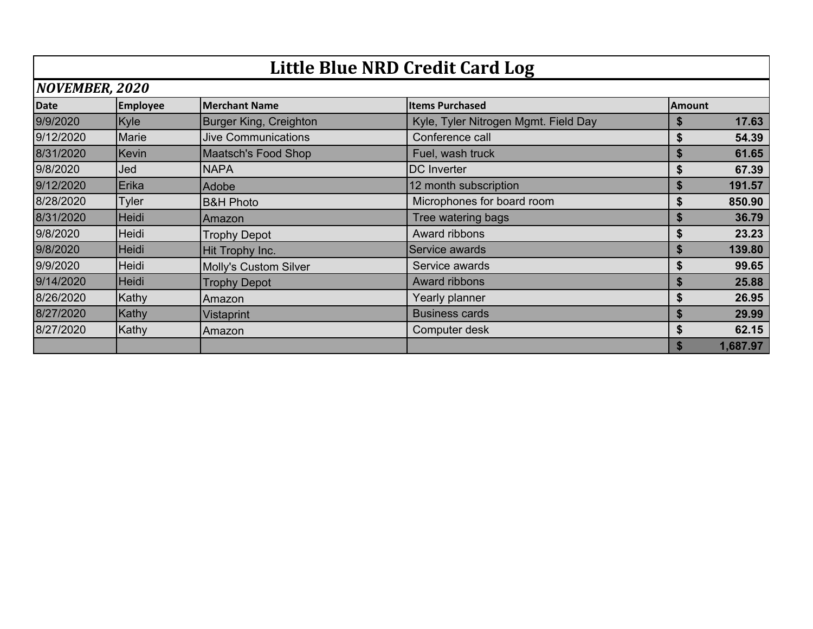|                | <b>Little Blue NRD Credit Card Log</b> |                               |                                      |               |  |
|----------------|----------------------------------------|-------------------------------|--------------------------------------|---------------|--|
| NOVEMBER, 2020 |                                        |                               |                                      |               |  |
| <b>Date</b>    | <b>Employee</b>                        | <b>Merchant Name</b>          | <b>Items Purchased</b>               | <b>Amount</b> |  |
| 9/9/2020       | Kyle                                   | <b>Burger King, Creighton</b> | Kyle, Tyler Nitrogen Mgmt. Field Day | 17.63<br>\$   |  |
| 9/12/2020      | Marie                                  | <b>Jive Communications</b>    | Conference call                      | \$<br>54.39   |  |
| 8/31/2020      | Kevin                                  | <b>Maatsch's Food Shop</b>    | Fuel, wash truck                     | 61.65<br>\$   |  |
| 9/8/2020       | Jed                                    | <b>NAPA</b>                   | DC Inverter                          | \$<br>67.39   |  |
| 9/12/2020      | Erika                                  | Adobe                         | 12 month subscription                | 191.57<br>\$  |  |
| 8/28/2020      | <b>Tyler</b>                           | <b>B&amp;H Photo</b>          | Microphones for board room           | 850.90<br>\$  |  |
| 8/31/2020      | Heidi                                  | Amazon                        | Tree watering bags                   | 36.79<br>\$   |  |
| 9/8/2020       | Heidi                                  | <b>Trophy Depot</b>           | Award ribbons                        | 23.23<br>\$   |  |
| 9/8/2020       | <b>Heidi</b>                           | Hit Trophy Inc.               | Service awards                       | 139.80<br>\$  |  |
| 9/9/2020       | Heidi                                  | Molly's Custom Silver         | Service awards                       | \$<br>99.65   |  |
| 9/14/2020      | Heidi                                  | <b>Trophy Depot</b>           | Award ribbons                        | \$<br>25.88   |  |
| 8/26/2020      | Kathy                                  | Amazon                        | Yearly planner                       | \$<br>26.95   |  |
| 8/27/2020      | <b>Kathy</b>                           | Vistaprint                    | <b>Business cards</b>                | \$<br>29.99   |  |
| 8/27/2020      | Kathy                                  | Amazon                        | Computer desk                        | \$<br>62.15   |  |
|                |                                        |                               |                                      | 1,687.97<br>S |  |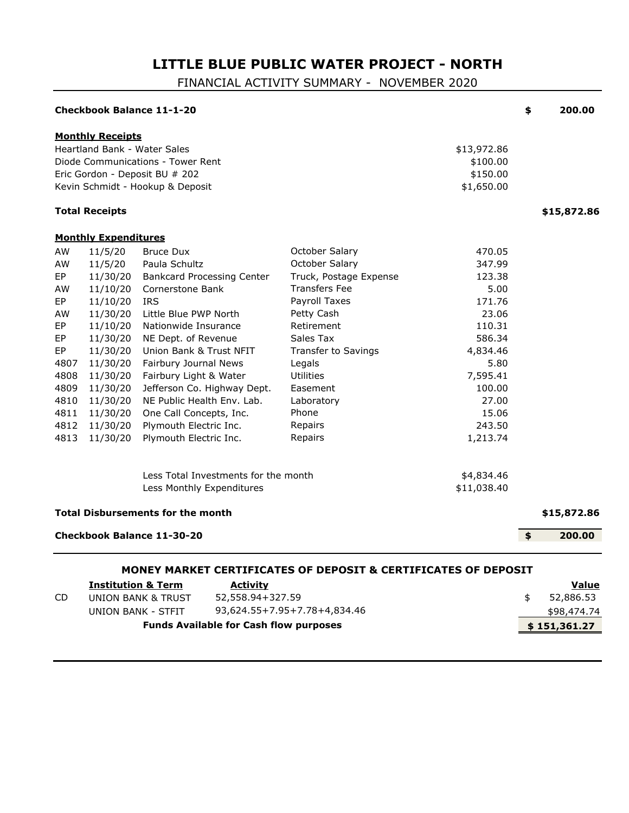# **LITTLE BLUE PUBLIC WATER PROJECT - NORTH**

FINANCIAL ACTIVITY SUMMARY - NOVEMBER 2020

|                                                                                                            |                                                                                                                                                                                            | <b>Checkbook Balance 11-1-20</b>                                                                                                                                                                                                                                                                                                                                                                           |                                                                                                                                                                                                                                                            |                                                                                                                                                             | \$<br>200.00                   |
|------------------------------------------------------------------------------------------------------------|--------------------------------------------------------------------------------------------------------------------------------------------------------------------------------------------|------------------------------------------------------------------------------------------------------------------------------------------------------------------------------------------------------------------------------------------------------------------------------------------------------------------------------------------------------------------------------------------------------------|------------------------------------------------------------------------------------------------------------------------------------------------------------------------------------------------------------------------------------------------------------|-------------------------------------------------------------------------------------------------------------------------------------------------------------|--------------------------------|
|                                                                                                            | <b>Monthly Receipts</b><br>Heartland Bank - Water Sales                                                                                                                                    | Diode Communications - Tower Rent<br>Eric Gordon - Deposit BU # 202<br>Kevin Schmidt - Hookup & Deposit                                                                                                                                                                                                                                                                                                    |                                                                                                                                                                                                                                                            | \$13,972.86<br>\$100.00<br>\$150.00<br>\$1,650.00                                                                                                           |                                |
|                                                                                                            | <b>Total Receipts</b>                                                                                                                                                                      |                                                                                                                                                                                                                                                                                                                                                                                                            |                                                                                                                                                                                                                                                            |                                                                                                                                                             | \$15,872.86                    |
|                                                                                                            | <b>Monthly Expenditures</b>                                                                                                                                                                |                                                                                                                                                                                                                                                                                                                                                                                                            |                                                                                                                                                                                                                                                            |                                                                                                                                                             |                                |
| AW<br>AW<br>EP<br>AW<br>EP<br>AW<br>EP<br>EP<br>EP<br>4807<br>4808<br>4809<br>4810<br>4811<br>4812<br>4813 | 11/5/20<br>11/5/20<br>11/30/20<br>11/10/20<br>11/10/20<br>11/30/20<br>11/10/20<br>11/30/20<br>11/30/20<br>11/30/20<br>11/30/20<br>11/30/20<br>11/30/20<br>11/30/20<br>11/30/20<br>11/30/20 | <b>Bruce Dux</b><br>Paula Schultz<br><b>Bankcard Processing Center</b><br>Cornerstone Bank<br><b>IRS</b><br>Little Blue PWP North<br>Nationwide Insurance<br>NE Dept. of Revenue<br>Union Bank & Trust NFIT<br>Fairbury Journal News<br>Fairbury Light & Water<br>Jefferson Co. Highway Dept.<br>NE Public Health Env. Lab.<br>One Call Concepts, Inc.<br>Plymouth Electric Inc.<br>Plymouth Electric Inc. | October Salary<br>October Salary<br>Truck, Postage Expense<br><b>Transfers Fee</b><br>Payroll Taxes<br>Petty Cash<br>Retirement<br>Sales Tax<br><b>Transfer to Savings</b><br>Legals<br>Utilities<br>Easement<br>Laboratory<br>Phone<br>Repairs<br>Repairs | 470.05<br>347.99<br>123.38<br>5.00<br>171.76<br>23.06<br>110.31<br>586.34<br>4,834.46<br>5.80<br>7,595.41<br>100.00<br>27.00<br>15.06<br>243.50<br>1,213.74 |                                |
|                                                                                                            |                                                                                                                                                                                            | Less Total Investments for the month<br>Less Monthly Expenditures<br><b>Total Disbursements for the month</b>                                                                                                                                                                                                                                                                                              |                                                                                                                                                                                                                                                            | \$4,834.46<br>\$11,038.40                                                                                                                                   | \$15,872.86                    |
|                                                                                                            |                                                                                                                                                                                            |                                                                                                                                                                                                                                                                                                                                                                                                            |                                                                                                                                                                                                                                                            |                                                                                                                                                             |                                |
|                                                                                                            |                                                                                                                                                                                            | <b>Checkbook Balance 11-30-20</b>                                                                                                                                                                                                                                                                                                                                                                          | MONEY MARKET CERTIFICATES OF DEPOSIT & CERTIFICATES OF DEPOSIT                                                                                                                                                                                             |                                                                                                                                                             | \$<br>200.00                   |
|                                                                                                            | <b>Institution &amp; Term</b>                                                                                                                                                              | <b>Activity</b>                                                                                                                                                                                                                                                                                                                                                                                            |                                                                                                                                                                                                                                                            |                                                                                                                                                             | Value                          |
| <b>CD</b>                                                                                                  |                                                                                                                                                                                            | 52,558.94+327.59<br>UNION BANK & TRUST<br><b>UNION BANK - STFIT</b>                                                                                                                                                                                                                                                                                                                                        | 93,624.55+7.95+7.78+4,834.46                                                                                                                                                                                                                               |                                                                                                                                                             | \$<br>52,886.53<br>\$98,474.74 |

**Funds Available for Cash flow purposes 8 151,361.27**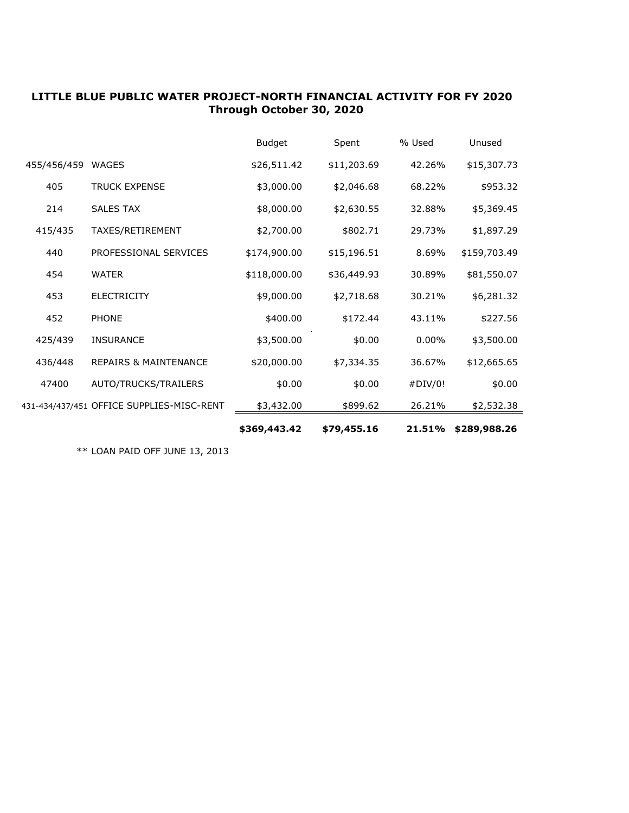## **LITTLE BLUE PUBLIC WATER PROJECT-NORTH FINANCIAL ACTIVITY FOR FY 2020 Through October 30, 2020**

|             |                                           | \$369,443.42  | \$79,455.16 | 21.51%   | \$289,988.26 |
|-------------|-------------------------------------------|---------------|-------------|----------|--------------|
|             | 431-434/437/451 OFFICE SUPPLIES-MISC-RENT | \$3,432.00    | \$899.62    | 26.21%   | \$2,532.38   |
| 47400       | AUTO/TRUCKS/TRAILERS                      | \$0.00        | \$0.00      | #DIV/0!  | \$0.00       |
| 436/448     | <b>REPAIRS &amp; MAINTENANCE</b>          | \$20,000.00   | \$7,334.35  | 36.67%   | \$12,665.65  |
| 425/439     | <b>INSURANCE</b>                          | \$3,500.00    | \$0.00      | $0.00\%$ | \$3,500.00   |
| 452         | <b>PHONE</b>                              | \$400.00      | \$172.44    | 43.11%   | \$227.56     |
| 453         | <b>ELECTRICITY</b>                        | \$9,000.00    | \$2,718.68  | 30.21%   | \$6,281.32   |
| 454         | <b>WATER</b>                              | \$118,000.00  | \$36,449.93 | 30.89%   | \$81,550.07  |
| 440         | PROFESSIONAL SERVICES                     | \$174,900.00  | \$15,196.51 | 8.69%    | \$159,703.49 |
| 415/435     | TAXES/RETIREMENT                          | \$2,700.00    | \$802.71    | 29.73%   | \$1,897.29   |
| 214         | <b>SALES TAX</b>                          | \$8,000.00    | \$2,630.55  | 32.88%   | \$5,369.45   |
| 405         | <b>TRUCK EXPENSE</b>                      | \$3,000.00    | \$2,046.68  | 68.22%   | \$953.32     |
| 455/456/459 | <b>WAGES</b>                              | \$26,511.42   | \$11,203.69 | 42.26%   | \$15,307.73  |
|             |                                           | <b>Budget</b> | Spent       | % Used   | Unused       |

\*\* LOAN PAID OFF JUNE 13, 2013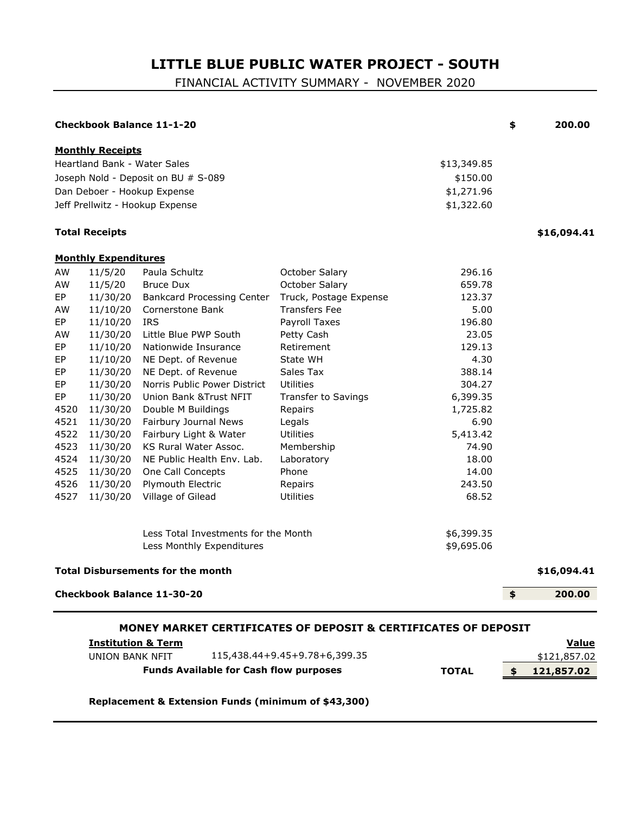# **LITTLE BLUE PUBLIC WATER PROJECT - SOUTH**

FINANCIAL ACTIVITY SUMMARY - NOVEMBER 2020

|                                                                                                                                |                                                                                                                                                                                                                                | <b>Checkbook Balance 11-1-20</b>                                                                                                                                                                                                                                                                                                                                                                                                                           |                                                                                                                                                                                                                                                                                                           |                                                                                                                                                                                       | \$            | 200.00                       |
|--------------------------------------------------------------------------------------------------------------------------------|--------------------------------------------------------------------------------------------------------------------------------------------------------------------------------------------------------------------------------|------------------------------------------------------------------------------------------------------------------------------------------------------------------------------------------------------------------------------------------------------------------------------------------------------------------------------------------------------------------------------------------------------------------------------------------------------------|-----------------------------------------------------------------------------------------------------------------------------------------------------------------------------------------------------------------------------------------------------------------------------------------------------------|---------------------------------------------------------------------------------------------------------------------------------------------------------------------------------------|---------------|------------------------------|
|                                                                                                                                | <b>Monthly Receipts</b>                                                                                                                                                                                                        | <b>Heartland Bank - Water Sales</b><br>Joseph Nold - Deposit on BU # S-089<br>Dan Deboer - Hookup Expense<br>Jeff Prellwitz - Hookup Expense                                                                                                                                                                                                                                                                                                               |                                                                                                                                                                                                                                                                                                           | \$13,349.85<br>\$150.00<br>\$1,271.96<br>\$1,322.60                                                                                                                                   |               |                              |
|                                                                                                                                | <b>Total Receipts</b>                                                                                                                                                                                                          |                                                                                                                                                                                                                                                                                                                                                                                                                                                            |                                                                                                                                                                                                                                                                                                           |                                                                                                                                                                                       |               | \$16,094.41                  |
|                                                                                                                                | <b>Monthly Expenditures</b>                                                                                                                                                                                                    |                                                                                                                                                                                                                                                                                                                                                                                                                                                            |                                                                                                                                                                                                                                                                                                           |                                                                                                                                                                                       |               |                              |
| AW<br>AW<br>EP<br>AW<br>EP<br>AW<br>EP<br>EP<br>EP<br>EP<br>EP<br>4520<br>4521<br>4522<br>4523<br>4524<br>4525<br>4526<br>4527 | 11/5/20<br>11/5/20<br>11/30/20<br>11/10/20<br>11/10/20<br>11/30/20<br>11/10/20<br>11/10/20<br>11/30/20<br>11/30/20<br>11/30/20<br>11/30/20<br>11/30/20<br>11/30/20<br>11/30/20<br>11/30/20<br>11/30/20<br>11/30/20<br>11/30/20 | Paula Schultz<br><b>Bruce Dux</b><br>Bankcard Processing Center<br>Cornerstone Bank<br><b>IRS</b><br>Little Blue PWP South<br>Nationwide Insurance<br>NE Dept. of Revenue<br>NE Dept. of Revenue<br>Norris Public Power District<br>Union Bank & Trust NFIT<br>Double M Buildings<br>Fairbury Journal News<br>Fairbury Light & Water<br>KS Rural Water Assoc.<br>NE Public Health Env. Lab.<br>One Call Concepts<br>Plymouth Electric<br>Village of Gilead | October Salary<br>October Salary<br>Truck, Postage Expense<br><b>Transfers Fee</b><br>Payroll Taxes<br>Petty Cash<br>Retirement<br>State WH<br>Sales Tax<br>Utilities<br>Transfer to Savings<br>Repairs<br>Legals<br><b>Utilities</b><br>Membership<br>Laboratory<br>Phone<br>Repairs<br><b>Utilities</b> | 296.16<br>659.78<br>123.37<br>5.00<br>196.80<br>23.05<br>129.13<br>4.30<br>388.14<br>304.27<br>6,399.35<br>1,725.82<br>6.90<br>5,413.42<br>74.90<br>18.00<br>14.00<br>243.50<br>68.52 |               |                              |
|                                                                                                                                |                                                                                                                                                                                                                                | Less Total Investments for the Month<br>Less Monthly Expenditures<br><b>Total Disbursements for the month</b>                                                                                                                                                                                                                                                                                                                                              |                                                                                                                                                                                                                                                                                                           | \$6,399.35<br>\$9,695.06                                                                                                                                                              |               | \$16,094.41                  |
|                                                                                                                                |                                                                                                                                                                                                                                | <b>Checkbook Balance 11-30-20</b>                                                                                                                                                                                                                                                                                                                                                                                                                          |                                                                                                                                                                                                                                                                                                           |                                                                                                                                                                                       | $\frac{1}{2}$ | 200.00                       |
|                                                                                                                                | <b>Institution &amp; Term</b><br><b>UNION BANK NFIT</b>                                                                                                                                                                        |                                                                                                                                                                                                                                                                                                                                                                                                                                                            | MONEY MARKET CERTIFICATES OF DEPOSIT & CERTIFICATES OF DEPOSIT<br>115,438.44+9.45+9.78+6,399.35                                                                                                                                                                                                           |                                                                                                                                                                                       |               | <b>Value</b><br>\$121,857.02 |
| <b>Funds Available for Cash flow purposes</b>                                                                                  |                                                                                                                                                                                                                                |                                                                                                                                                                                                                                                                                                                                                                                                                                                            | <b>TOTAL</b>                                                                                                                                                                                                                                                                                              | \$                                                                                                                                                                                    | 121,857.02    |                              |

**Replacement & Extension Funds (minimum of \$43,300)**